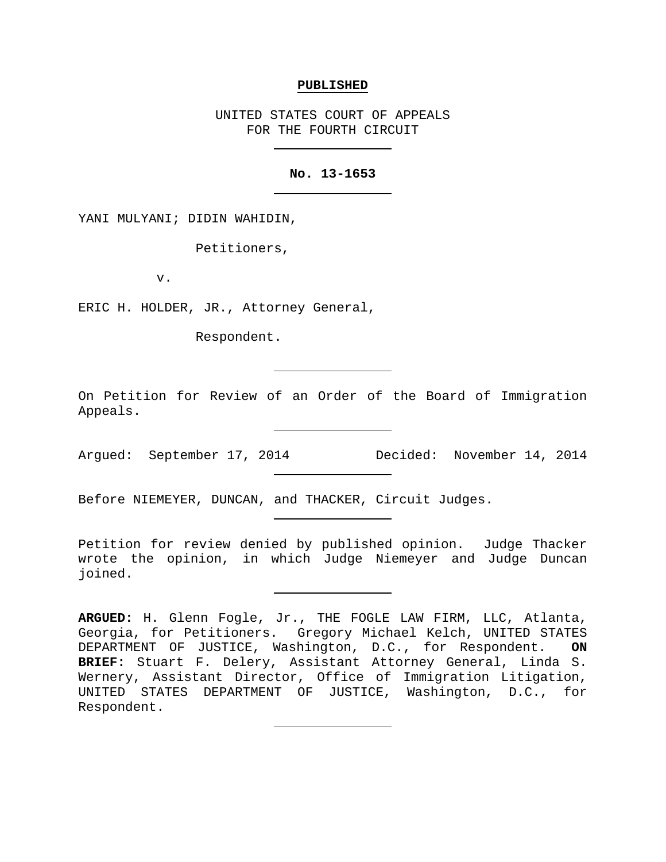#### **PUBLISHED**

UNITED STATES COURT OF APPEALS FOR THE FOURTH CIRCUIT

## **No. 13-1653**

YANI MULYANI; DIDIN WAHIDIN,

Petitioners,

v.

ERIC H. HOLDER, JR., Attorney General,

Respondent.

On Petition for Review of an Order of the Board of Immigration Appeals.

Before NIEMEYER, DUNCAN, and THACKER, Circuit Judges.

Petition for review denied by published opinion. Judge Thacker wrote the opinion, in which Judge Niemeyer and Judge Duncan joined.

Argued: September 17, 2014 Decided: November 14, 2014

**ARGUED:** H. Glenn Fogle, Jr., THE FOGLE LAW FIRM, LLC, Atlanta, Georgia, for Petitioners. Gregory Michael Kelch, UNITED STATES DEPARTMENT OF JUSTICE, Washington, D.C., for Respondent. **ON BRIEF:** Stuart F. Delery, Assistant Attorney General, Linda S. Wernery, Assistant Director, Office of Immigration Litigation, UNITED STATES DEPARTMENT OF JUSTICE, Washington, D.C., for Respondent.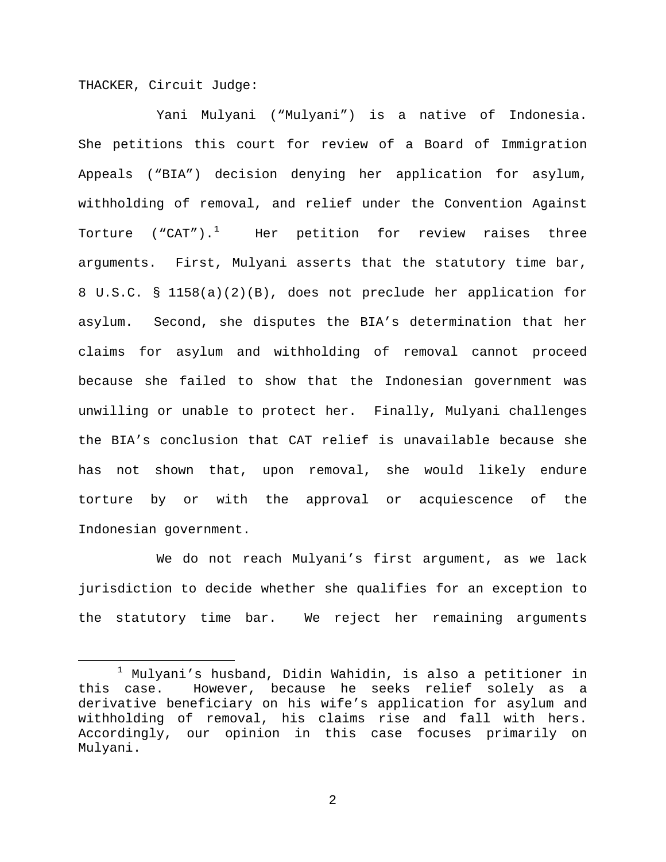THACKER, Circuit Judge:

Yani Mulyani ("Mulyani") is a native of Indonesia. She petitions this court for review of a Board of Immigration Appeals ("BIA") decision denying her application for asylum, withholding of removal, and relief under the Convention Against Torture ("CAT"). $^1$  $^1$  Her petition for review raises three arguments. First, Mulyani asserts that the statutory time bar, 8 U.S.C. § 1158(a)(2)(B), does not preclude her application for asylum. Second, she disputes the BIA's determination that her claims for asylum and withholding of removal cannot proceed because she failed to show that the Indonesian government was unwilling or unable to protect her. Finally, Mulyani challenges the BIA's conclusion that CAT relief is unavailable because she has not shown that, upon removal, she would likely endure torture by or with the approval or acquiescence of the Indonesian government.

We do not reach Mulyani's first argument, as we lack jurisdiction to decide whether she qualifies for an exception to the statutory time bar. We reject her remaining arguments

<span id="page-1-0"></span> $1$  Mulyani's husband, Didin Wahidin, is also a petitioner in this case. However, because he seeks relief solely as a derivative beneficiary on his wife's application for asylum and withholding of removal, his claims rise and fall with hers. Accordingly, our opinion in this case focuses primarily on Mulyani.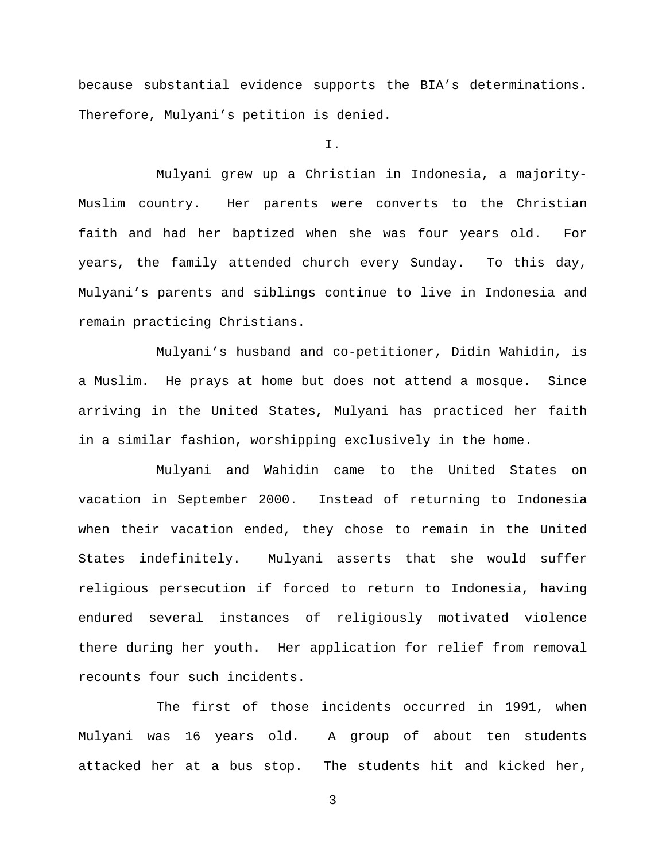because substantial evidence supports the BIA's determinations. Therefore, Mulyani's petition is denied.

I.

Mulyani grew up a Christian in Indonesia, a majority-Muslim country. Her parents were converts to the Christian faith and had her baptized when she was four years old. For years, the family attended church every Sunday. To this day, Mulyani's parents and siblings continue to live in Indonesia and remain practicing Christians.

Mulyani's husband and co-petitioner, Didin Wahidin, is a Muslim. He prays at home but does not attend a mosque. Since arriving in the United States, Mulyani has practiced her faith in a similar fashion, worshipping exclusively in the home.

Mulyani and Wahidin came to the United States on vacation in September 2000. Instead of returning to Indonesia when their vacation ended, they chose to remain in the United States indefinitely. Mulyani asserts that she would suffer religious persecution if forced to return to Indonesia, having endured several instances of religiously motivated violence there during her youth. Her application for relief from removal recounts four such incidents.

The first of those incidents occurred in 1991, when Mulyani was 16 years old. A group of about ten students attacked her at a bus stop. The students hit and kicked her,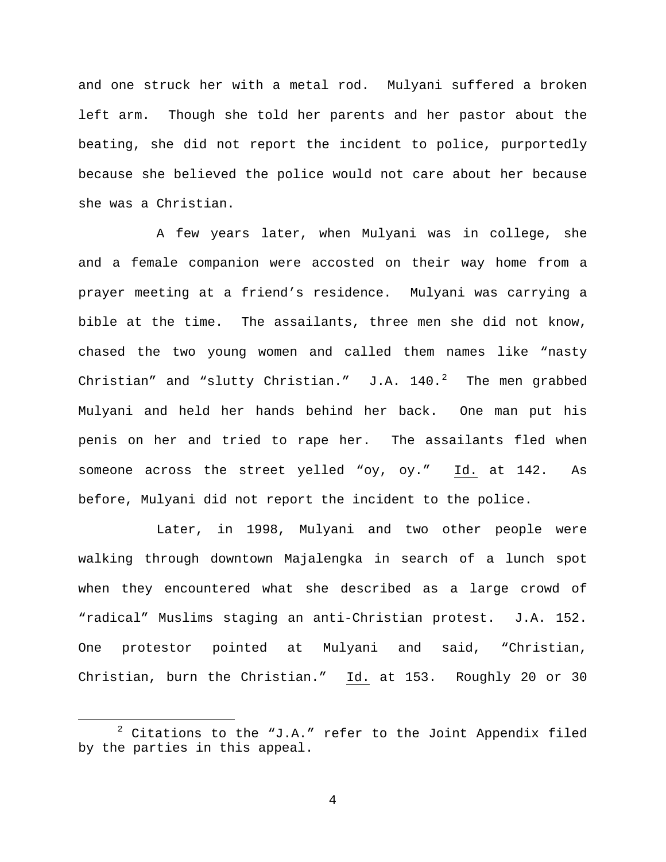and one struck her with a metal rod. Mulyani suffered a broken left arm. Though she told her parents and her pastor about the beating, she did not report the incident to police, purportedly because she believed the police would not care about her because she was a Christian.

A few years later, when Mulyani was in college, she and a female companion were accosted on their way home from a prayer meeting at a friend's residence. Mulyani was carrying a bible at the time. The assailants, three men she did not know, chased the two young women and called them names like "nasty Christian" and "slutty Christian."  $J.A. 140.^2$  $J.A. 140.^2$  The men grabbed Mulyani and held her hands behind her back. One man put his penis on her and tried to rape her. The assailants fled when someone across the street yelled "oy, oy." Id. at 142. As before, Mulyani did not report the incident to the police.

Later, in 1998, Mulyani and two other people were walking through downtown Majalengka in search of a lunch spot when they encountered what she described as a large crowd of "radical" Muslims staging an anti-Christian protest. J.A. 152. One protestor pointed at Mulyani and said, "Christian, Christian, burn the Christian." Id. at 153. Roughly 20 or 30

<span id="page-3-0"></span> $2$  Citations to the "J.A." refer to the Joint Appendix filed by the parties in this appeal.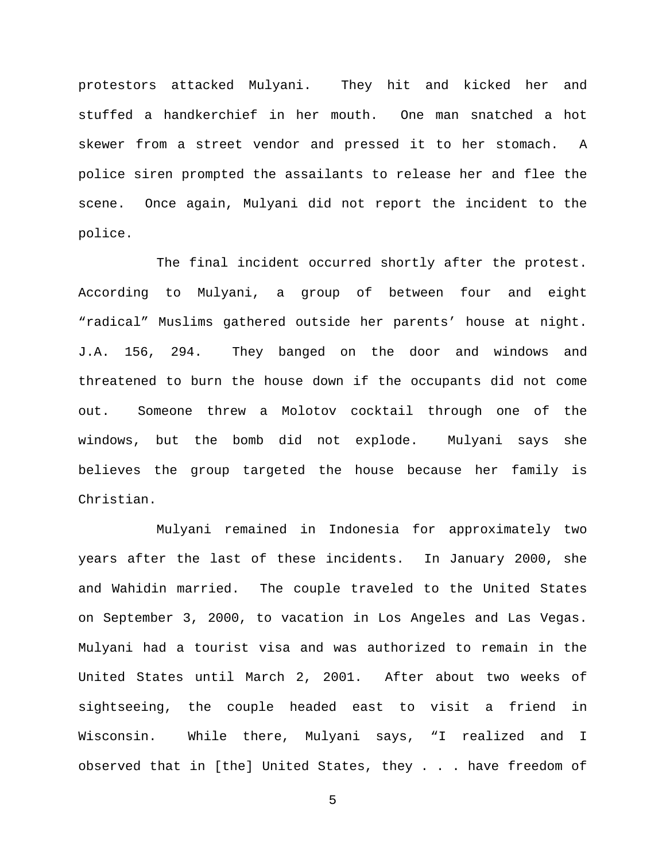protestors attacked Mulyani. They hit and kicked her and stuffed a handkerchief in her mouth. One man snatched a hot skewer from a street vendor and pressed it to her stomach. A police siren prompted the assailants to release her and flee the scene. Once again, Mulyani did not report the incident to the police.

The final incident occurred shortly after the protest. According to Mulyani, a group of between four and eight "radical" Muslims gathered outside her parents' house at night. J.A. 156, 294. They banged on the door and windows and threatened to burn the house down if the occupants did not come out. Someone threw a Molotov cocktail through one of the windows, but the bomb did not explode. Mulyani says she believes the group targeted the house because her family is Christian.

Mulyani remained in Indonesia for approximately two years after the last of these incidents. In January 2000, she and Wahidin married. The couple traveled to the United States on September 3, 2000, to vacation in Los Angeles and Las Vegas. Mulyani had a tourist visa and was authorized to remain in the United States until March 2, 2001. After about two weeks of sightseeing, the couple headed east to visit a friend in Wisconsin. While there, Mulyani says, "I realized and I observed that in [the] United States, they . . . have freedom of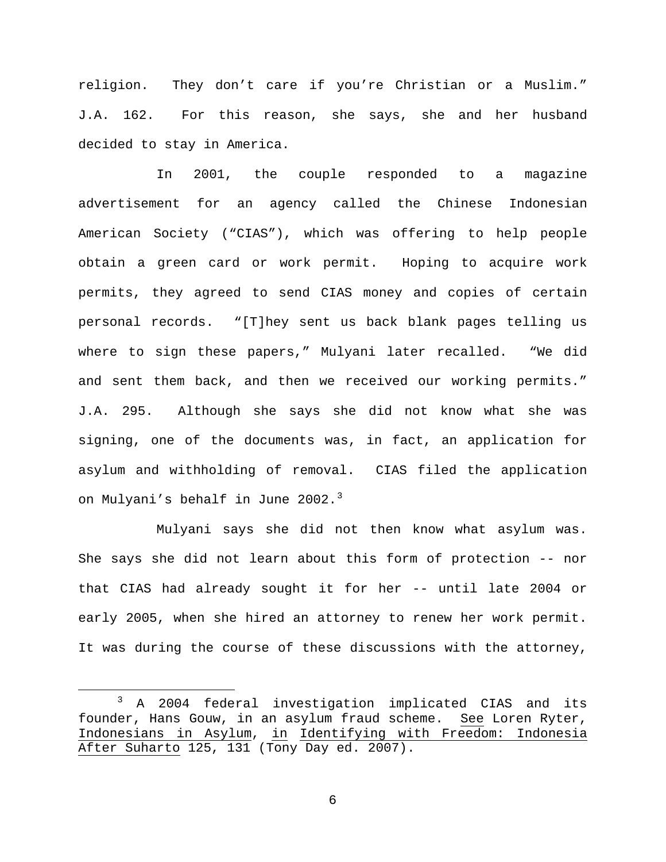religion. They don't care if you're Christian or a Muslim." J.A. 162. For this reason, she says, she and her husband decided to stay in America.

In 2001, the couple responded to a magazine advertisement for an agency called the Chinese Indonesian American Society ("CIAS"), which was offering to help people obtain a green card or work permit. Hoping to acquire work permits, they agreed to send CIAS money and copies of certain personal records. "[T]hey sent us back blank pages telling us where to sign these papers," Mulyani later recalled. "We did and sent them back, and then we received our working permits." J.A. 295. Although she says she did not know what she was signing, one of the documents was, in fact, an application for asylum and withholding of removal. CIAS filed the application on Mulyani's behalf in June 2002.<sup>[3](#page-5-0)</sup>

Mulyani says she did not then know what asylum was. She says she did not learn about this form of protection -- nor that CIAS had already sought it for her -- until late 2004 or early 2005, when she hired an attorney to renew her work permit. It was during the course of these discussions with the attorney,

<span id="page-5-0"></span> <sup>3</sup> A 2004 federal investigation implicated CIAS and its founder, Hans Gouw, in an asylum fraud scheme. See Loren Ryter, Indonesians in Asylum, in Identifying with Freedom: Indonesia After Suharto 125, 131 (Tony Day ed. 2007).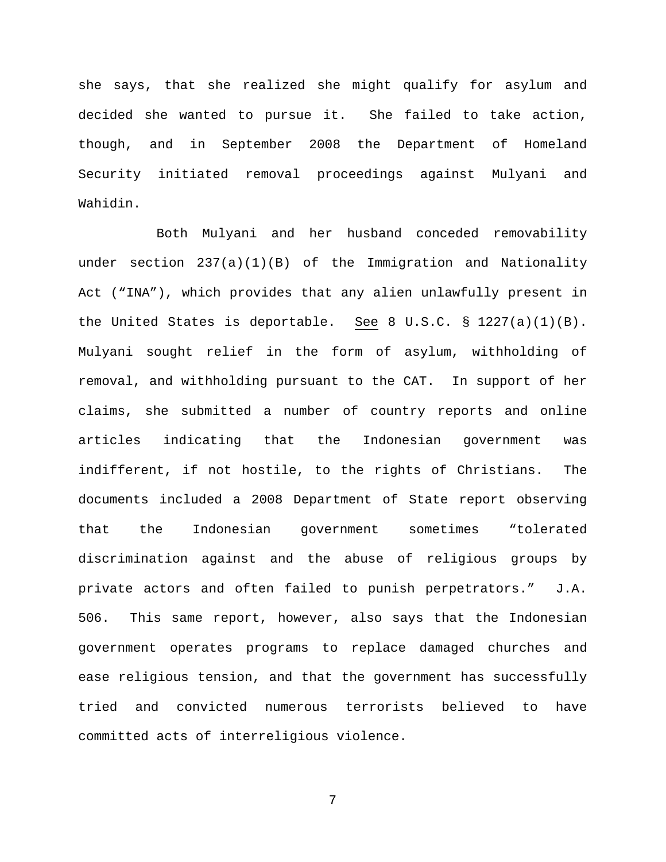she says, that she realized she might qualify for asylum and decided she wanted to pursue it. She failed to take action, though, and in September 2008 the Department of Homeland Security initiated removal proceedings against Mulyani and Wahidin.

Both Mulyani and her husband conceded removability under section 237(a)(1)(B) of the Immigration and Nationality Act ("INA"), which provides that any alien unlawfully present in the United States is deportable. See 8 U.S.C. § 1227(a)(1)(B). Mulyani sought relief in the form of asylum, withholding of removal, and withholding pursuant to the CAT. In support of her claims, she submitted a number of country reports and online articles indicating that the Indonesian government was indifferent, if not hostile, to the rights of Christians. The documents included a 2008 Department of State report observing that the Indonesian government sometimes "tolerated discrimination against and the abuse of religious groups by private actors and often failed to punish perpetrators." J.A. 506. This same report, however, also says that the Indonesian government operates programs to replace damaged churches and ease religious tension, and that the government has successfully tried and convicted numerous terrorists believed to have committed acts of interreligious violence.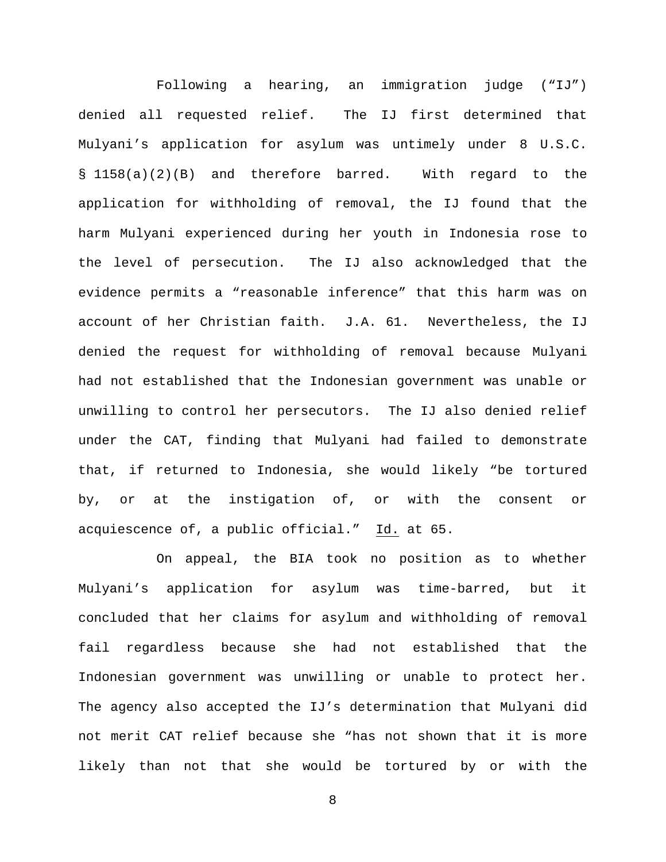Following a hearing, an immigration judge ("IJ") denied all requested relief. The IJ first determined that Mulyani's application for asylum was untimely under 8 U.S.C. § 1158(a)(2)(B) and therefore barred. With regard to the application for withholding of removal, the IJ found that the harm Mulyani experienced during her youth in Indonesia rose to the level of persecution. The IJ also acknowledged that the evidence permits a "reasonable inference" that this harm was on account of her Christian faith. J.A. 61. Nevertheless, the IJ denied the request for withholding of removal because Mulyani had not established that the Indonesian government was unable or unwilling to control her persecutors. The IJ also denied relief under the CAT, finding that Mulyani had failed to demonstrate that, if returned to Indonesia, she would likely "be tortured by, or at the instigation of, or with the consent or acquiescence of, a public official." Id. at 65.

On appeal, the BIA took no position as to whether Mulyani's application for asylum was time-barred, but it concluded that her claims for asylum and withholding of removal fail regardless because she had not established that the Indonesian government was unwilling or unable to protect her. The agency also accepted the IJ's determination that Mulyani did not merit CAT relief because she "has not shown that it is more likely than not that she would be tortured by or with the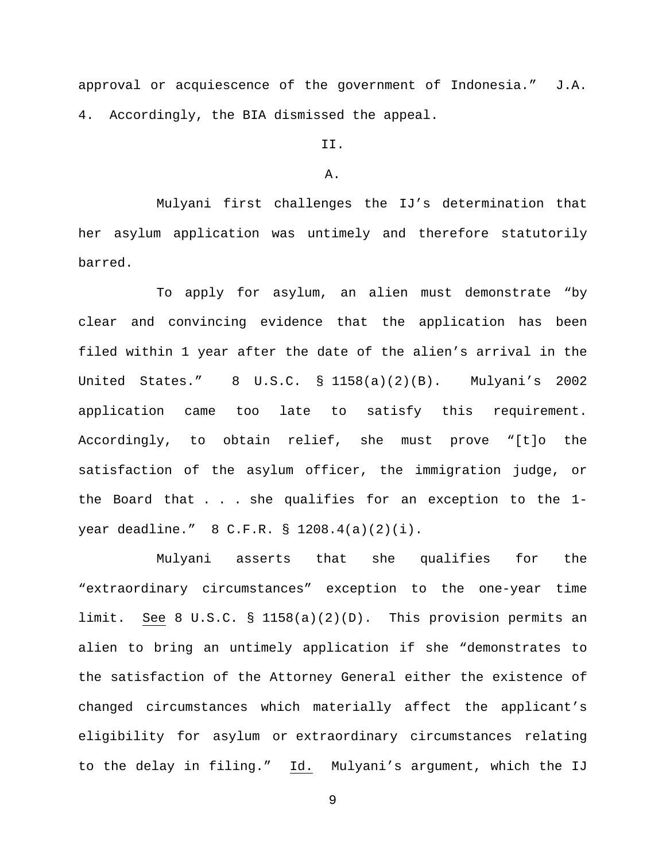approval or acquiescence of the government of Indonesia." J.A. 4. Accordingly, the BIA dismissed the appeal.

# II.

## A.

Mulyani first challenges the IJ's determination that her asylum application was untimely and therefore statutorily barred.

To apply for asylum, an alien must demonstrate "by clear and convincing evidence that the application has been filed within 1 year after the date of the alien's arrival in the United States." 8 U.S.C. § 1158(a)(2)(B). Mulyani's 2002 application came too late to satisfy this requirement. Accordingly, to obtain relief, she must prove "[t]o the satisfaction of the asylum officer, the immigration judge, or the Board that . . . she qualifies for an exception to the 1 year deadline." 8 C.F.R. § 1208.4(a)(2)(i).

Mulyani asserts that she qualifies for the "extraordinary circumstances" exception to the one-year time limit. See 8 U.S.C. § 1158(a)(2)(D). This provision permits an alien to bring an untimely application if she "demonstrates to the satisfaction of the Attorney General either the existence of changed circumstances which materially affect the applicant's eligibility for asylum or extraordinary circumstances relating to the delay in filing." Id. Mulyani's argument, which the IJ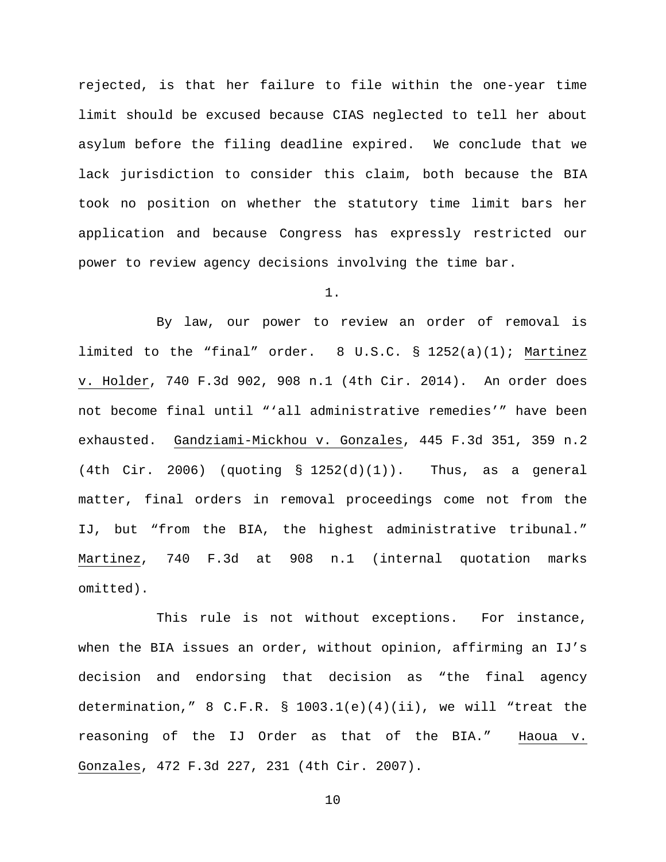rejected, is that her failure to file within the one-year time limit should be excused because CIAS neglected to tell her about asylum before the filing deadline expired. We conclude that we lack jurisdiction to consider this claim, both because the BIA took no position on whether the statutory time limit bars her application and because Congress has expressly restricted our power to review agency decisions involving the time bar.

1.

By law, our power to review an order of removal is limited to the "final" order. 8 U.S.C. § 1252(a)(1); Martinez v. Holder, 740 F.3d 902, 908 n.1 (4th Cir. 2014). An order does not become final until "'all administrative remedies'" have been exhausted. Gandziami-Mickhou v. Gonzales, 445 F.3d 351, 359 n.2  $(4th$  Cir. 2006) (quoting § 1252 $(d)(1))$ . Thus, as a general matter, final orders in removal proceedings come not from the IJ, but "from the BIA, the highest administrative tribunal." Martinez, 740 F.3d at 908 n.1 (internal quotation marks omitted).

This rule is not without exceptions. For instance, when the BIA issues an order, without opinion, affirming an IJ's decision and endorsing that decision as "the final agency determination," 8 C.F.R.  $\S$  1003.1(e)(4)(ii), we will "treat the reasoning of the IJ Order as that of the BIA." Haoua v. Gonzales, 472 F.3d 227, 231 (4th Cir. 2007).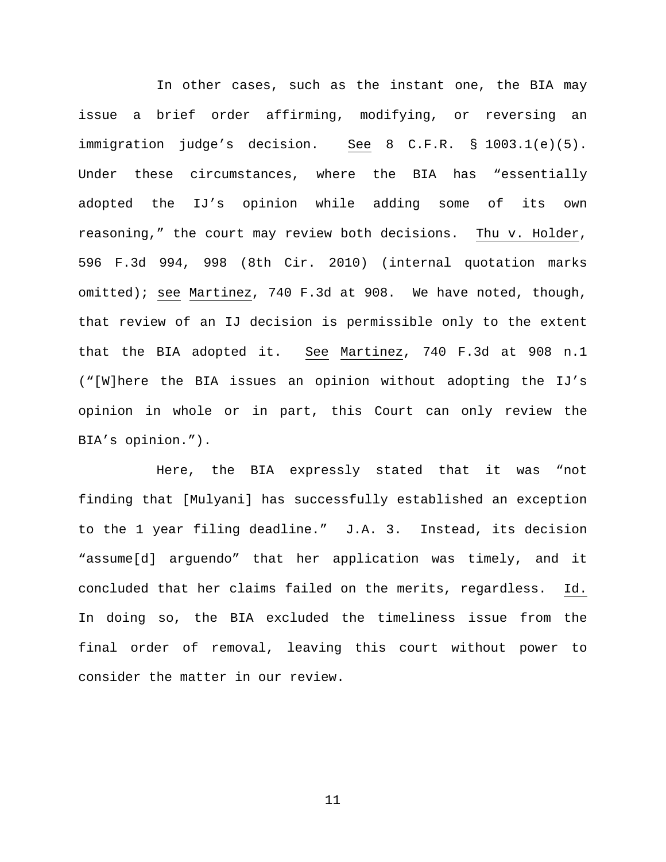In other cases, such as the instant one, the BIA may issue a brief order affirming, modifying, or reversing an immigration judge's decision. See 8 C.F.R. § 1003.1(e)(5). Under these circumstances, where the BIA has "essentially adopted the IJ's opinion while adding some of its own reasoning," the court may review both decisions. Thu v. Holder, 596 F.3d 994, 998 (8th Cir. 2010) (internal quotation marks omitted); see Martinez, 740 F.3d at 908. We have noted, though, that review of an IJ decision is permissible only to the extent that the BIA adopted it. See Martinez, 740 F.3d at 908 n.1 ("[W]here the BIA issues an opinion without adopting the IJ's opinion in whole or in part, this Court can only review the BIA's opinion.").

Here, the BIA expressly stated that it was "not finding that [Mulyani] has successfully established an exception to the 1 year filing deadline." J.A. 3. Instead, its decision "assume[d] arguendo" that her application was timely, and it concluded that her claims failed on the merits, regardless. Id. In doing so, the BIA excluded the timeliness issue from the final order of removal, leaving this court without power to consider the matter in our review.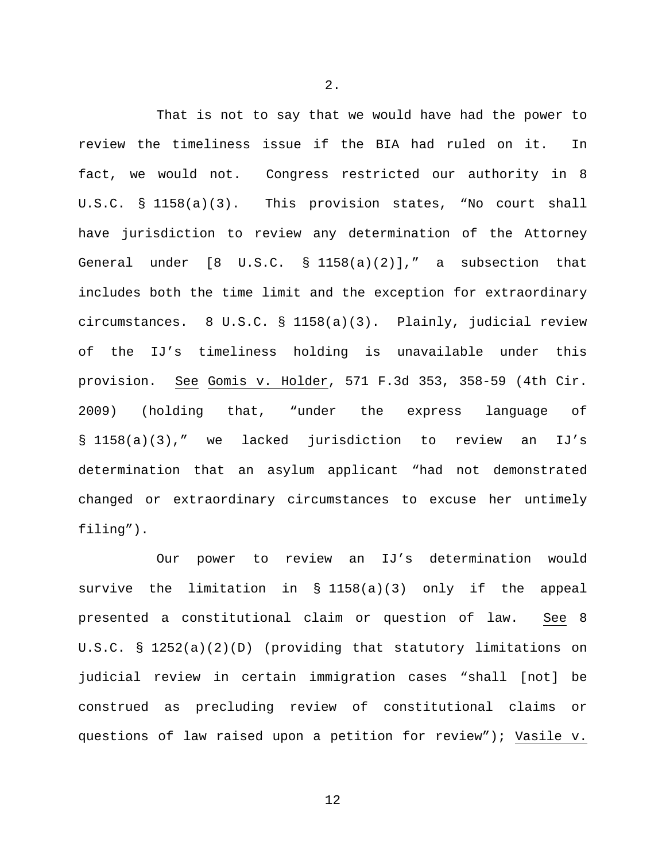That is not to say that we would have had the power to review the timeliness issue if the BIA had ruled on it. In fact, we would not. Congress restricted our authority in 8 U.S.C. § 1158(a)(3). This provision states, "No court shall have jurisdiction to review any determination of the Attorney General under [8 U.S.C. § 1158(a)(2)]," a subsection that includes both the time limit and the exception for extraordinary circumstances. 8 U.S.C. § 1158(a)(3). Plainly, judicial review of the IJ's timeliness holding is unavailable under this provision. See Gomis v. Holder, 571 F.3d 353, 358-59 (4th Cir. 2009) (holding that, "under the express language of § 1158(a)(3)," we lacked jurisdiction to review an IJ's determination that an asylum applicant "had not demonstrated changed or extraordinary circumstances to excuse her untimely filing").

Our power to review an IJ's determination would survive the limitation in § 1158(a)(3) only if the appeal presented a constitutional claim or question of law. See 8 U.S.C. § 1252(a)(2)(D) (providing that statutory limitations on judicial review in certain immigration cases "shall [not] be construed as precluding review of constitutional claims or questions of law raised upon a petition for review"); Vasile v.

2.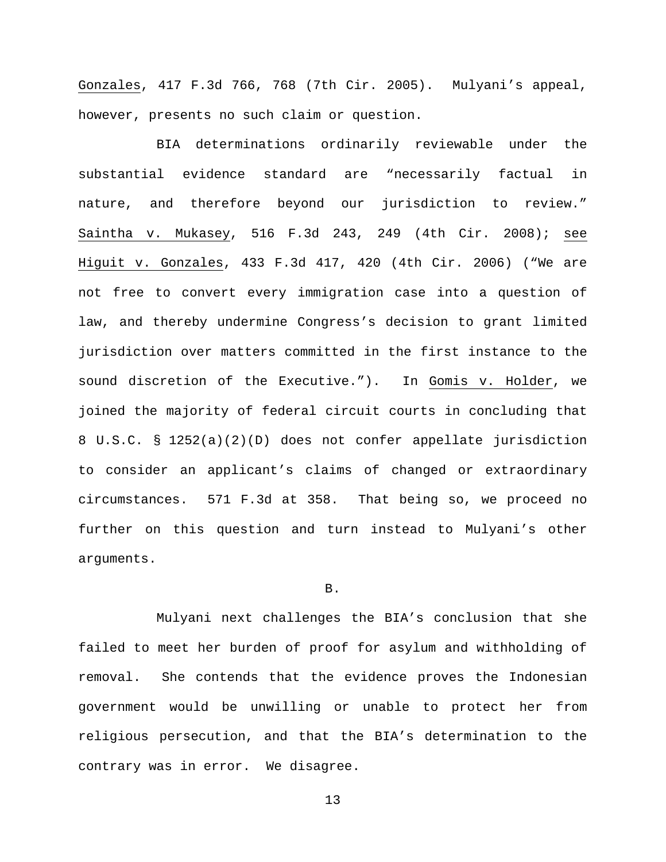Gonzales, 417 F.3d 766, 768 (7th Cir. 2005). Mulyani's appeal, however, presents no such claim or question.

BIA determinations ordinarily reviewable under the substantial evidence standard are "necessarily factual in nature, and therefore beyond our jurisdiction to review." Saintha v. Mukasey, 516 F.3d 243, 249 (4th Cir. 2008); see Higuit v. Gonzales, 433 F.3d 417, 420 (4th Cir. 2006) ("We are not free to convert every immigration case into a question of law, and thereby undermine Congress's decision to grant limited jurisdiction over matters committed in the first instance to the sound discretion of the Executive."). In Gomis v. Holder, we joined the majority of federal circuit courts in concluding that 8 U.S.C. § 1252(a)(2)(D) does not confer appellate jurisdiction to consider an applicant's claims of changed or extraordinary circumstances. 571 F.3d at 358. That being so, we proceed no further on this question and turn instead to Mulyani's other arguments.

#### B.

Mulyani next challenges the BIA's conclusion that she failed to meet her burden of proof for asylum and withholding of removal. She contends that the evidence proves the Indonesian government would be unwilling or unable to protect her from religious persecution, and that the BIA's determination to the contrary was in error. We disagree.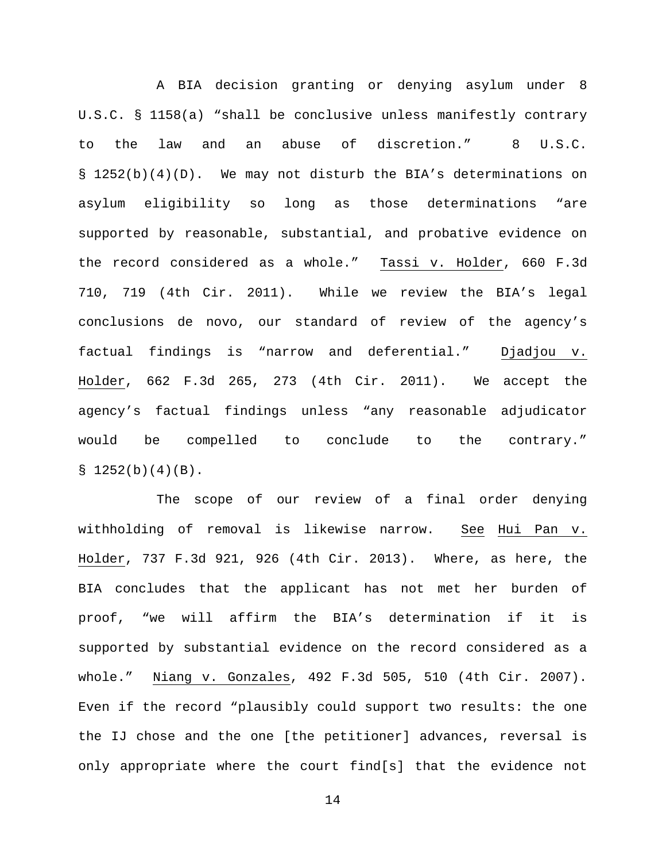A BIA decision granting or denying asylum under 8 U.S.C. § 1158(a) "shall be conclusive unless manifestly contrary to the law and an abuse of discretion." 8 U.S.C. § 1252(b)(4)(D). We may not disturb the BIA's determinations on asylum eligibility so long as those determinations "are supported by reasonable, substantial, and probative evidence on the record considered as a whole." Tassi v. Holder, 660 F.3d 710, 719 (4th Cir. 2011). While we review the BIA's legal conclusions de novo, our standard of review of the agency's factual findings is "narrow and deferential." Djadjou v. Holder, 662 F.3d 265, 273 (4th Cir. 2011). We accept the agency's factual findings unless "any reasonable adjudicator would be compelled to conclude to the contrary."  $$1252(b)(4)(B).$ 

The scope of our review of a final order denying withholding of removal is likewise narrow. See Hui Pan v. Holder, 737 F.3d 921, 926 (4th Cir. 2013). Where, as here, the BIA concludes that the applicant has not met her burden of proof, "we will affirm the BIA's determination if it is supported by substantial evidence on the record considered as a whole." Niang v. Gonzales, 492 F.3d 505, 510 (4th Cir. 2007). Even if the record "plausibly could support two results: the one the IJ chose and the one [the petitioner] advances, reversal is only appropriate where the court find[s] that the evidence not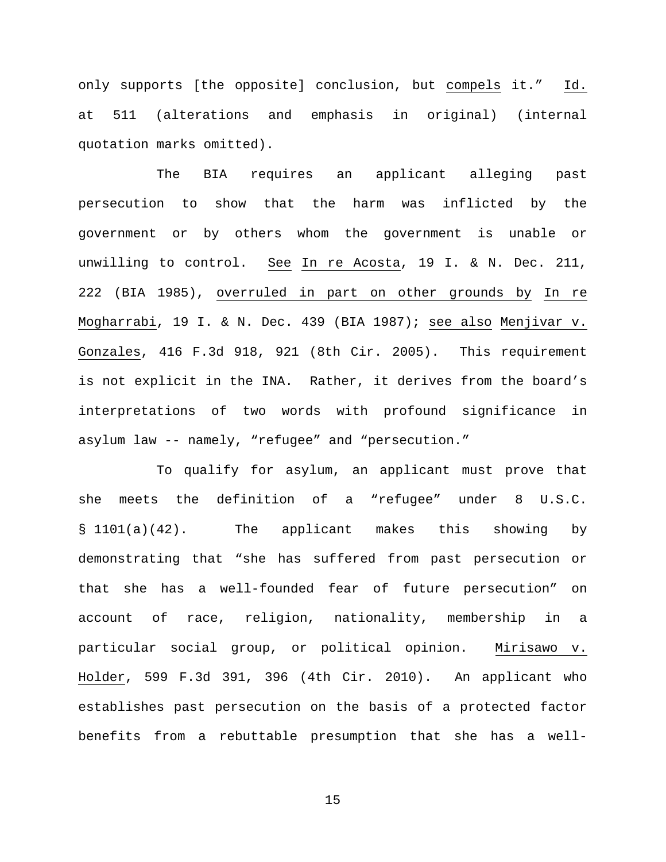only supports [the opposite] conclusion, but compels it." Id. at 511 (alterations and emphasis in original) (internal quotation marks omitted).

The BIA requires an applicant alleging past persecution to show that the harm was inflicted by the government or by others whom the government is unable or unwilling to control. See In re Acosta, 19 I. & N. Dec. 211, 222 (BIA 1985), overruled in part on other grounds by In re Mogharrabi, 19 I. & N. Dec. 439 (BIA 1987); see also Menjivar v. Gonzales, 416 F.3d 918, 921 (8th Cir. 2005). This requirement is not explicit in the INA. Rather, it derives from the board's interpretations of two words with profound significance in asylum law -- namely, "refugee" and "persecution."

To qualify for asylum, an applicant must prove that she meets the definition of a "refugee" under 8 U.S.C. § 1101(a)(42). The applicant makes this showing by demonstrating that "she has suffered from past persecution or that she has a well-founded fear of future persecution" on account of race, religion, nationality, membership in a particular social group, or political opinion. Mirisawo v. Holder, 599 F.3d 391, 396 (4th Cir. 2010). An applicant who establishes past persecution on the basis of a protected factor benefits from a rebuttable presumption that she has a well-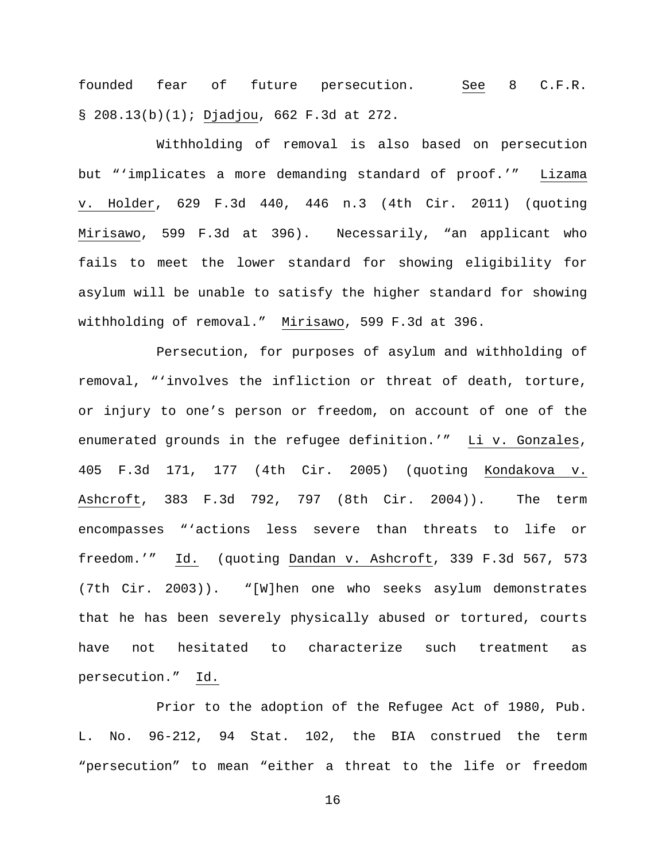founded fear of future persecution. See 8 C.F.R. § 208.13(b)(1); Djadjou, 662 F.3d at 272.

Withholding of removal is also based on persecution but "'implicates a more demanding standard of proof.'" Lizama v. Holder, 629 F.3d 440, 446 n.3 (4th Cir. 2011) (quoting Mirisawo, 599 F.3d at 396). Necessarily, "an applicant who fails to meet the lower standard for showing eligibility for asylum will be unable to satisfy the higher standard for showing withholding of removal." Mirisawo, 599 F.3d at 396.

Persecution, for purposes of asylum and withholding of removal, "'involves the infliction or threat of death, torture, or injury to one's person or freedom, on account of one of the enumerated grounds in the refugee definition.'" Li v. Gonzales, 405 F.3d 171, 177 (4th Cir. 2005) (quoting Kondakova v. Ashcroft, 383 F.3d 792, 797 (8th Cir. 2004)). The term encompasses "'actions less severe than threats to life or freedom.'" Id. (quoting Dandan v. Ashcroft, 339 F.3d 567, 573 (7th Cir. 2003)). "[W]hen one who seeks asylum demonstrates that he has been severely physically abused or tortured, courts have not hesitated to characterize such treatment as persecution." Id.

Prior to the adoption of the Refugee Act of 1980, Pub. L. No. 96-212, 94 Stat. 102, the BIA construed the term "persecution" to mean "either a threat to the life or freedom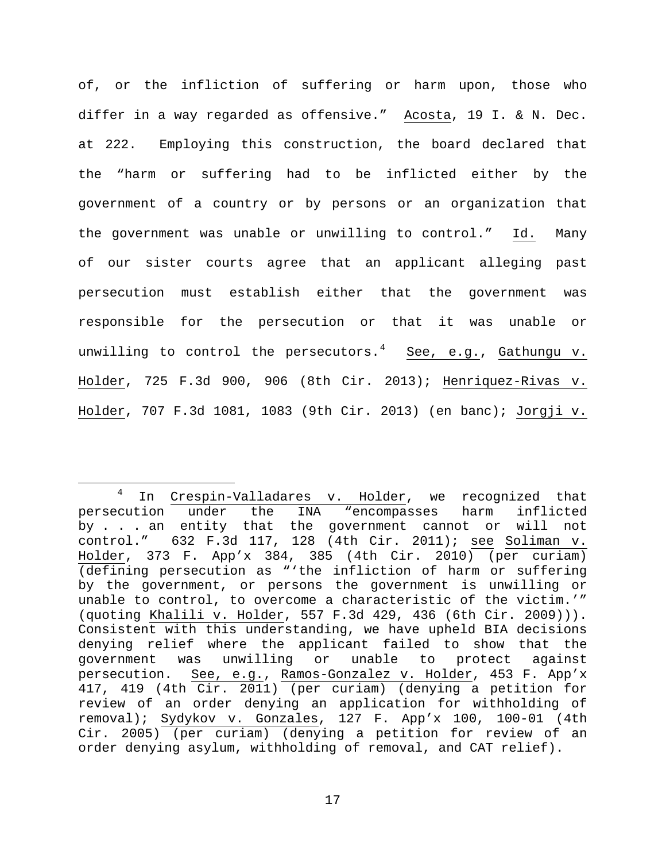of, or the infliction of suffering or harm upon, those who differ in a way regarded as offensive." Acosta, 19 I. & N. Dec. at 222. Employing this construction, the board declared that the "harm or suffering had to be inflicted either by the government of a country or by persons or an organization that the government was unable or unwilling to control." Id. Many of our sister courts agree that an applicant alleging past persecution must establish either that the government was responsible for the persecution or that it was unable or unwilling to control the persecutors.<sup>[4](#page-16-0)</sup> See, e.g., Gathungu v. Holder, 725 F.3d 900, 906 (8th Cir. 2013); Henriquez-Rivas v. Holder, 707 F.3d 1081, 1083 (9th Cir. 2013) (en banc); Jorgji v.

<span id="page-16-0"></span><sup>&</sup>lt;sup>4</sup> In <u>Crespin-Valladares v. Holder</u>, we recognized that<br>cution under the INA "encompasses harm inflicted persecution under the INA "encompasses harm by . . . an entity that the government cannot or will not control." 632 F.3d 117, 128 (4th Cir. 2011); see Soliman v. Holder, 373 F. App'x 384, 385 (4th Cir. 2010) (per curiam) (defining persecution as "'the infliction of harm or suffering by the government, or persons the government is unwilling or unable to control, to overcome a characteristic of the victim.'" (quoting Khalili v. Holder, 557 F.3d 429, 436 (6th Cir. 2009))). Consistent with this understanding, we have upheld BIA decisions denying relief where the applicant failed to show that the government was unwilling or unable to protect against persecution. See, e.g., Ramos-Gonzalez v. Holder, 453 F. App'x 417, 419 (4th Cir. 2011) (per curiam) (denying a petition for review of an order denying an application for withholding of removal); Sydykov v. Gonzales, 127 F. App'x 100, 100-01 (4th Cir. 2005) (per curiam) (denying a petition for review of an order denying asylum, withholding of removal, and CAT relief).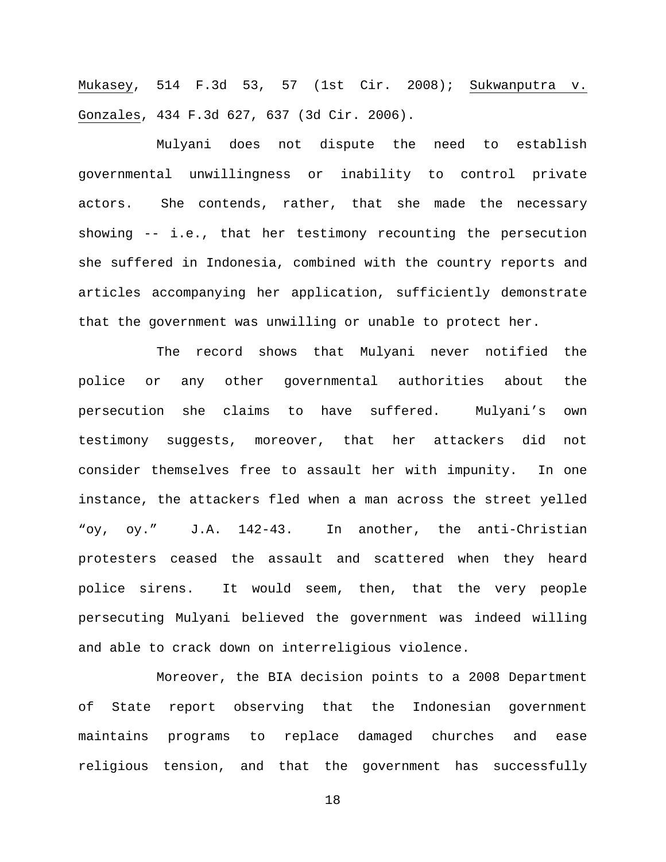Mukasey, 514 F.3d 53, 57 (1st Cir. 2008); Sukwanputra v. Gonzales, 434 F.3d 627, 637 (3d Cir. 2006).

Mulyani does not dispute the need to establish governmental unwillingness or inability to control private actors. She contends, rather, that she made the necessary showing -- i.e., that her testimony recounting the persecution she suffered in Indonesia, combined with the country reports and articles accompanying her application, sufficiently demonstrate that the government was unwilling or unable to protect her.

The record shows that Mulyani never notified the police or any other governmental authorities about the persecution she claims to have suffered. Mulyani's own testimony suggests, moreover, that her attackers did not consider themselves free to assault her with impunity. In one instance, the attackers fled when a man across the street yelled "oy, oy." J.A. 142-43. In another, the anti-Christian protesters ceased the assault and scattered when they heard police sirens. It would seem, then, that the very people persecuting Mulyani believed the government was indeed willing and able to crack down on interreligious violence.

Moreover, the BIA decision points to a 2008 Department of State report observing that the Indonesian government maintains programs to replace damaged churches and ease religious tension, and that the government has successfully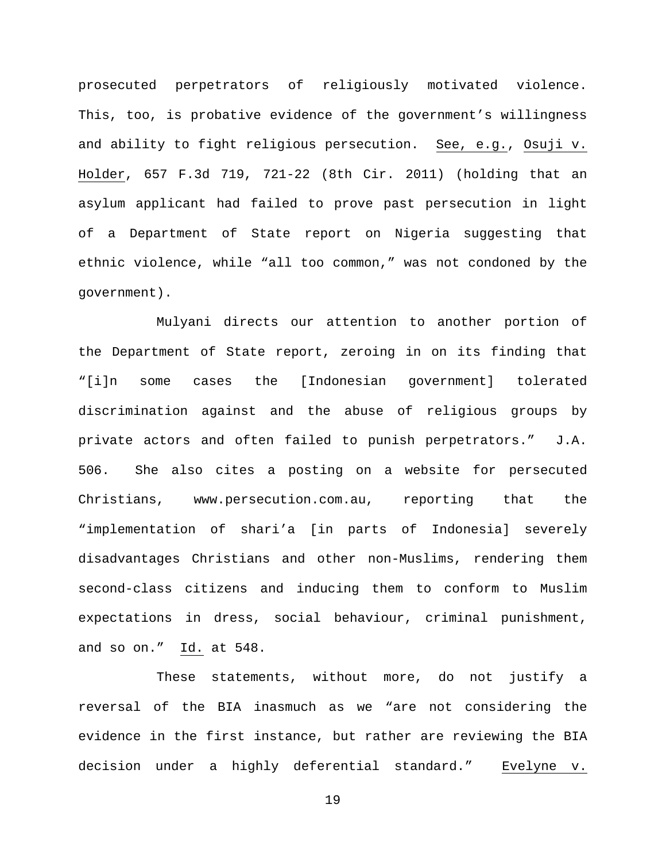prosecuted perpetrators of religiously motivated violence. This, too, is probative evidence of the government's willingness and ability to fight religious persecution. See, e.g., Osuji v. Holder, 657 F.3d 719, 721-22 (8th Cir. 2011) (holding that an asylum applicant had failed to prove past persecution in light of a Department of State report on Nigeria suggesting that ethnic violence, while "all too common," was not condoned by the government).

Mulyani directs our attention to another portion of the Department of State report, zeroing in on its finding that "[i]n some cases the [Indonesian government] tolerated discrimination against and the abuse of religious groups by private actors and often failed to punish perpetrators." J.A. 506. She also cites a posting on a website for persecuted Christians, www.persecution.com.au, reporting that the "implementation of shari'a [in parts of Indonesia] severely disadvantages Christians and other non-Muslims, rendering them second-class citizens and inducing them to conform to Muslim expectations in dress, social behaviour, criminal punishment, and so on." Id. at 548.

These statements, without more, do not justify a reversal of the BIA inasmuch as we "are not considering the evidence in the first instance, but rather are reviewing the BIA decision under a highly deferential standard." Evelyne v.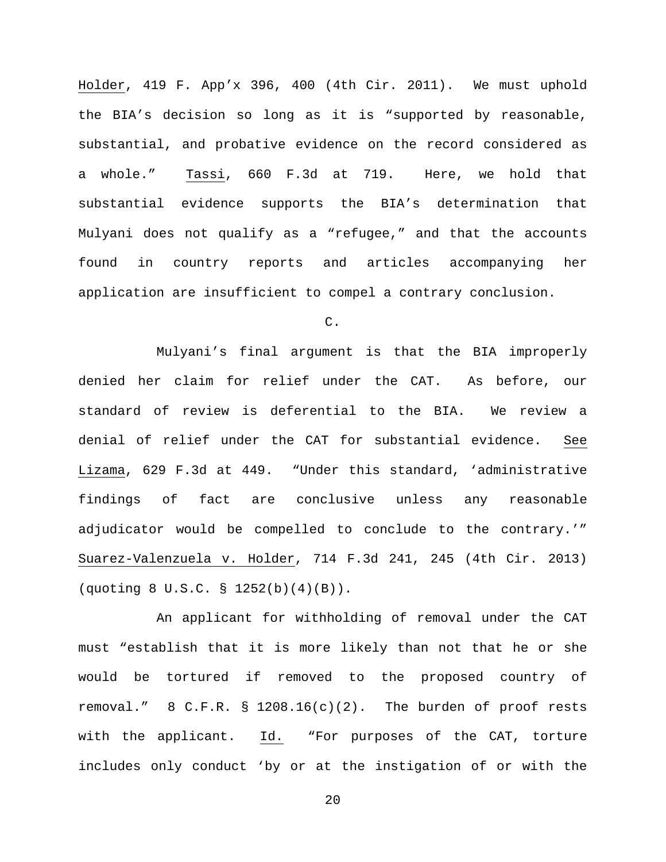Holder, 419 F. App'x 396, 400 (4th Cir. 2011). We must uphold the BIA's decision so long as it is "supported by reasonable, substantial, and probative evidence on the record considered as a whole." Tassi, 660 F.3d at 719. Here, we hold that substantial evidence supports the BIA's determination that Mulyani does not qualify as a "refugee," and that the accounts found in country reports and articles accompanying her application are insufficient to compel a contrary conclusion.

C.

Mulyani's final argument is that the BIA improperly denied her claim for relief under the CAT. As before, our standard of review is deferential to the BIA. We review a denial of relief under the CAT for substantial evidence. See Lizama, 629 F.3d at 449. "Under this standard, 'administrative findings of fact are conclusive unless any reasonable adjudicator would be compelled to conclude to the contrary.'" Suarez-Valenzuela v. Holder, 714 F.3d 241, 245 (4th Cir. 2013) (quoting 8 U.S.C. § 1252(b)(4)(B)).

An applicant for withholding of removal under the CAT must "establish that it is more likely than not that he or she would be tortured if removed to the proposed country of removal." 8 C.F.R. § 1208.16(c)(2). The burden of proof rests with the applicant. Id. "For purposes of the CAT, torture includes only conduct 'by or at the instigation of or with the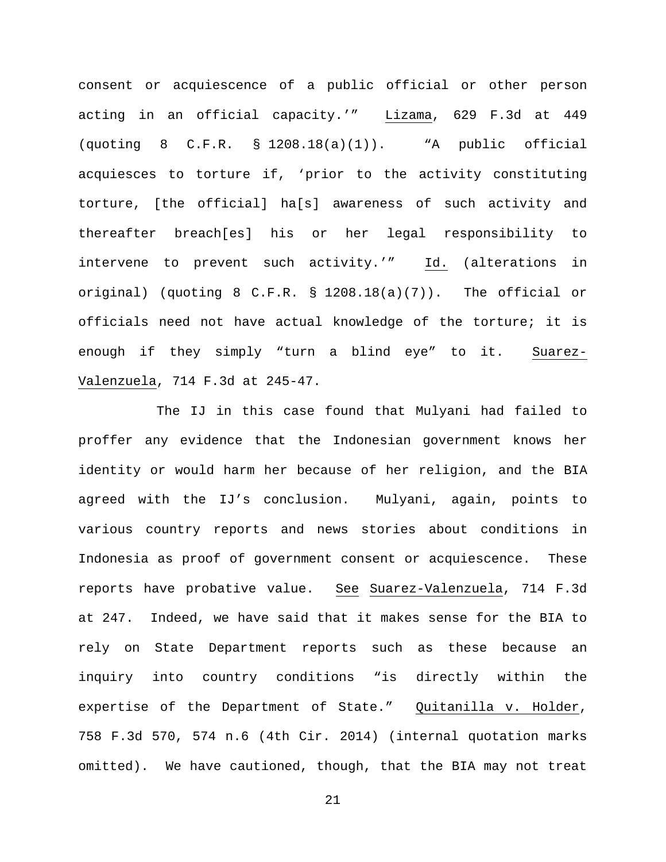consent or acquiescence of a public official or other person acting in an official capacity.'" Lizama, 629 F.3d at 449 (quoting 8 C.F.R. § 1208.18(a)(1)). "A public official acquiesces to torture if, 'prior to the activity constituting torture, [the official] ha[s] awareness of such activity and thereafter breach[es] his or her legal responsibility to intervene to prevent such activity.'" Id. (alterations in original) (quoting 8 C.F.R. § 1208.18(a)(7)). The official or officials need not have actual knowledge of the torture; it is enough if they simply "turn a blind eye" to it. Suarez-Valenzuela, 714 F.3d at 245-47.

The IJ in this case found that Mulyani had failed to proffer any evidence that the Indonesian government knows her identity or would harm her because of her religion, and the BIA agreed with the IJ's conclusion. Mulyani, again, points to various country reports and news stories about conditions in Indonesia as proof of government consent or acquiescence. These reports have probative value. See Suarez-Valenzuela, 714 F.3d at 247. Indeed, we have said that it makes sense for the BIA to rely on State Department reports such as these because an inquiry into country conditions "is directly within the expertise of the Department of State." Quitanilla v. Holder, 758 F.3d 570, 574 n.6 (4th Cir. 2014) (internal quotation marks omitted). We have cautioned, though, that the BIA may not treat